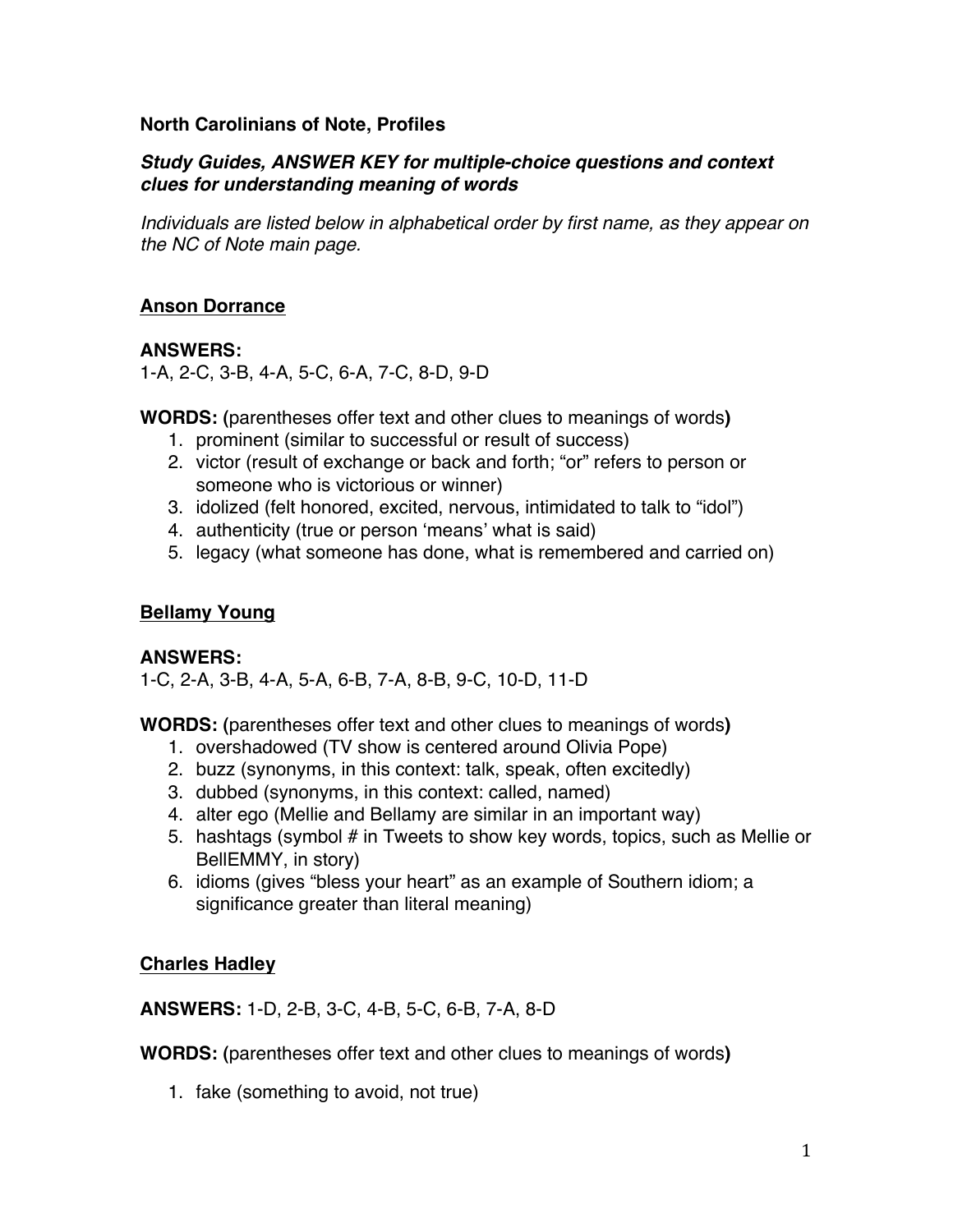#### **North Carolinians of Note, Profiles**

#### *Study Guides, ANSWER KEY for multiple-choice questions and context clues for understanding meaning of words*

*Individuals are listed below in alphabetical order by first name, as they appear on the NC of Note main page.*

### **Anson Dorrance**

## **ANSWERS:**

1-A, 2-C, 3-B, 4-A, 5-C, 6-A, 7-C, 8-D, 9-D

**WORDS: (**parentheses offer text and other clues to meanings of words**)** 

- 1. prominent (similar to successful or result of success)
- 2. victor (result of exchange or back and forth; "or" refers to person or someone who is victorious or winner)
- 3. idolized (felt honored, excited, nervous, intimidated to talk to "idol")
- 4. authenticity (true or person ʻmeans' what is said)
- 5. legacy (what someone has done, what is remembered and carried on)

### **Bellamy Young**

### **ANSWERS:**

1-C, 2-A, 3-B, 4-A, 5-A, 6-B, 7-A, 8-B, 9-C, 10-D, 11-D

**WORDS: (**parentheses offer text and other clues to meanings of words**)** 

- 1. overshadowed (TV show is centered around Olivia Pope)
- 2. buzz (synonyms, in this context: talk, speak, often excitedly)
- 3. dubbed (synonyms, in this context: called, named)
- 4. alter ego (Mellie and Bellamy are similar in an important way)
- 5. hashtags (symbol # in Tweets to show key words, topics, such as Mellie or BellEMMY, in story)
- 6. idioms (gives "bless your heart" as an example of Southern idiom; a significance greater than literal meaning)

### **Charles Hadley**

**ANSWERS:** 1-D, 2-B, 3-C, 4-B, 5-C, 6-B, 7-A, 8-D

**WORDS: (**parentheses offer text and other clues to meanings of words**)** 

1. fake (something to avoid, not true)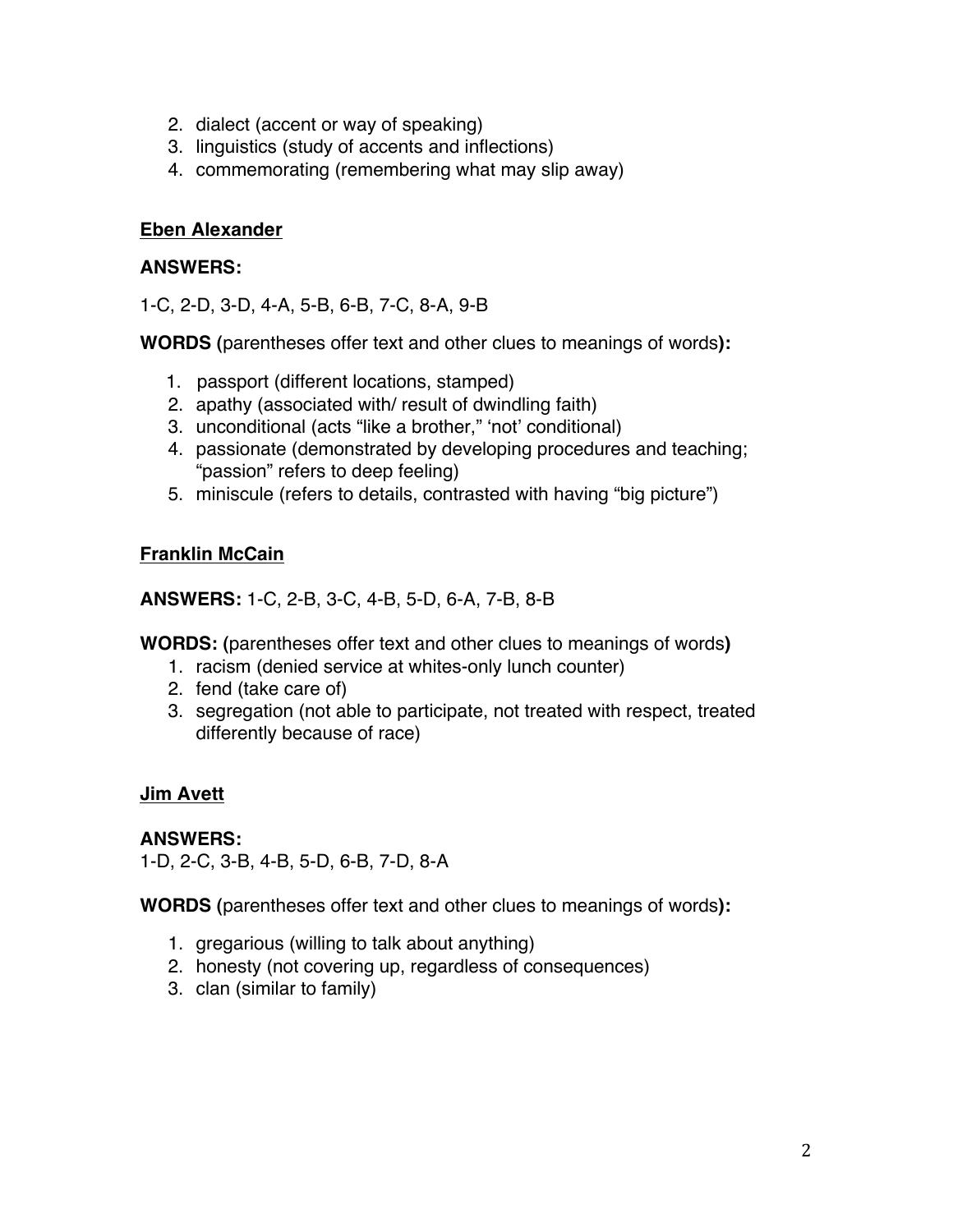- 2. dialect (accent or way of speaking)
- 3. linguistics (study of accents and inflections)
- 4. commemorating (remembering what may slip away)

#### **Eben Alexander**

#### **ANSWERS:**

1-C, 2-D, 3-D, 4-A, 5-B, 6-B, 7-C, 8-A, 9-B

**WORDS (**parentheses offer text and other clues to meanings of words**):**

- 1.passport (different locations, stamped)
- 2. apathy (associated with/ result of dwindling faith)
- 3. unconditional (acts "like a brother," ʻnot' conditional)
- 4. passionate (demonstrated by developing procedures and teaching; "passion" refers to deep feeling)
- 5. miniscule (refers to details, contrasted with having "big picture")

### **Franklin McCain**

**ANSWERS:** 1-C, 2-B, 3-C, 4-B, 5-D, 6-A, 7-B, 8-B

**WORDS: (**parentheses offer text and other clues to meanings of words**)** 

- 1. racism (denied service at whites-only lunch counter)
- 2. fend (take care of)
- 3. segregation (not able to participate, not treated with respect, treated differently because of race)

### **Jim Avett**

### **ANSWERS:**

1-D, 2-C, 3-B, 4-B, 5-D, 6-B, 7-D, 8-A

**WORDS (**parentheses offer text and other clues to meanings of words**):**

- 1. gregarious (willing to talk about anything)
- 2. honesty (not covering up, regardless of consequences)
- 3. clan (similar to family)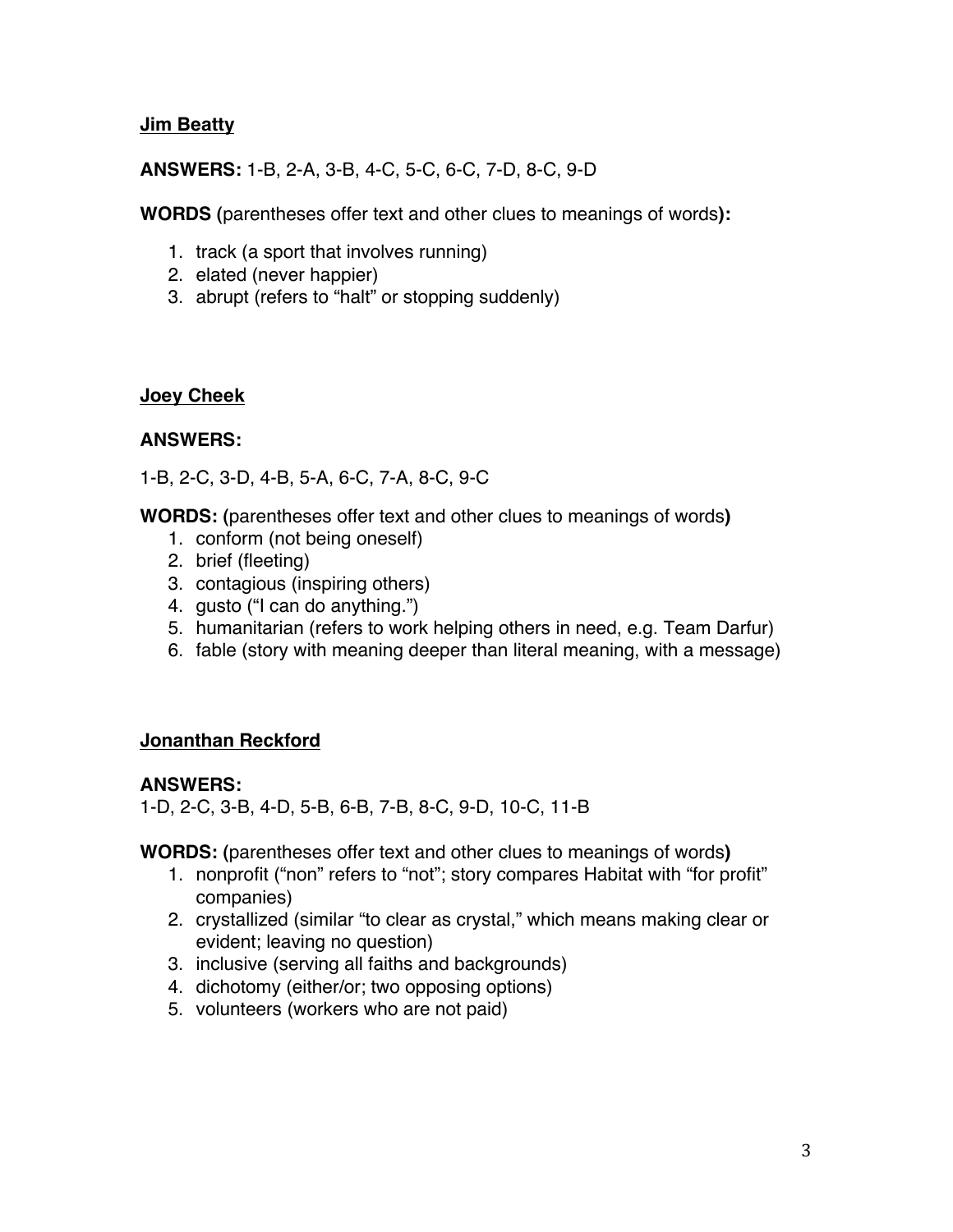#### **Jim Beatty**

#### **ANSWERS:** 1-B, 2-A, 3-B, 4-C, 5-C, 6-C, 7-D, 8-C, 9-D

**WORDS (**parentheses offer text and other clues to meanings of words**):**

- 1. track (a sport that involves running)
- 2. elated (never happier)
- 3. abrupt (refers to "halt" or stopping suddenly)

#### **Joey Cheek**

#### **ANSWERS:**

1-B, 2-C, 3-D, 4-B, 5-A, 6-C, 7-A, 8-C, 9-C

**WORDS: (**parentheses offer text and other clues to meanings of words**)** 

- 1. conform (not being oneself)
- 2. brief (fleeting)
- 3. contagious (inspiring others)
- 4. gusto ("I can do anything.")
- 5. humanitarian (refers to work helping others in need, e.g. Team Darfur)
- 6. fable (story with meaning deeper than literal meaning, with a message)

#### **Jonanthan Reckford**

#### **ANSWERS:**

1-D, 2-C, 3-B, 4-D, 5-B, 6-B, 7-B, 8-C, 9-D, 10-C, 11-B

**WORDS: (**parentheses offer text and other clues to meanings of words**)** 

- 1. nonprofit ("non" refers to "not"; story compares Habitat with "for profit" companies)
- 2. crystallized (similar "to clear as crystal," which means making clear or evident; leaving no question)
- 3. inclusive (serving all faiths and backgrounds)
- 4. dichotomy (either/or; two opposing options)
- 5. volunteers (workers who are not paid)